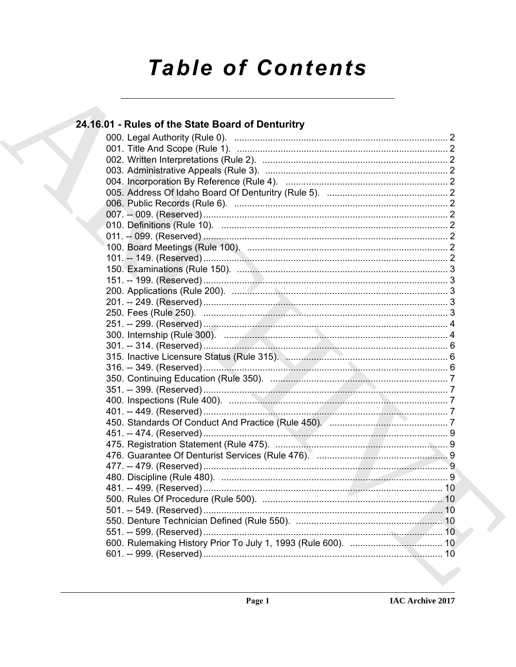# **Table of Contents**

| 24.16.01 - Rules of the State Board of Denturitry                |  |
|------------------------------------------------------------------|--|
|                                                                  |  |
|                                                                  |  |
|                                                                  |  |
|                                                                  |  |
|                                                                  |  |
|                                                                  |  |
|                                                                  |  |
|                                                                  |  |
|                                                                  |  |
|                                                                  |  |
|                                                                  |  |
|                                                                  |  |
|                                                                  |  |
|                                                                  |  |
|                                                                  |  |
|                                                                  |  |
|                                                                  |  |
|                                                                  |  |
|                                                                  |  |
|                                                                  |  |
| 315. Inactive Licensure Status (Rule 315). Manhamman Manhamman 6 |  |
|                                                                  |  |
|                                                                  |  |
|                                                                  |  |
|                                                                  |  |
|                                                                  |  |
|                                                                  |  |
|                                                                  |  |
|                                                                  |  |
|                                                                  |  |
|                                                                  |  |
|                                                                  |  |
|                                                                  |  |
|                                                                  |  |
|                                                                  |  |
|                                                                  |  |
|                                                                  |  |
|                                                                  |  |
|                                                                  |  |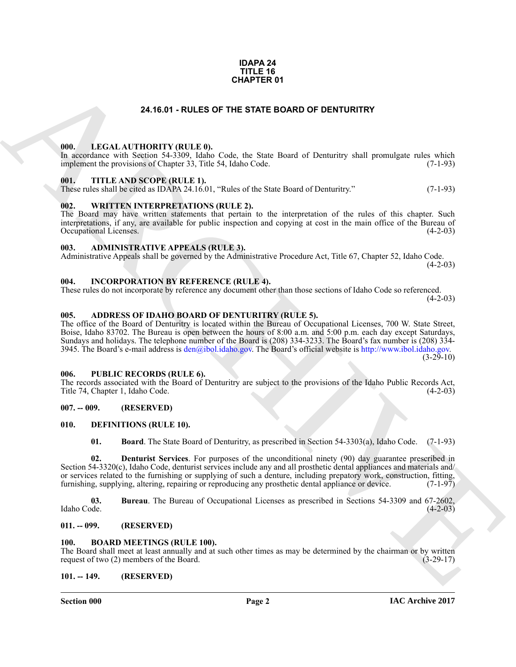#### **IDAPA 24 TITLE 16 CHAPTER 01**

#### **24.16.01 - RULES OF THE STATE BOARD OF DENTURITRY**

#### <span id="page-1-1"></span><span id="page-1-0"></span>**000. LEGAL AUTHORITY (RULE 0).**

In accordance with Section 54-3309, Idaho Code, the State Board of Denturitry shall promulgate rules which implement the provisions of Chapter 33, Title 54, Idaho Code. (7-1-93)

#### <span id="page-1-2"></span>**001. TITLE AND SCOPE (RULE 1).**

These rules shall be cited as IDAPA 24.16.01, "Rules of the State Board of Denturitry." (7-1-93)

#### <span id="page-1-3"></span>**002. WRITTEN INTERPRETATIONS (RULE 2).**

The Board may have written statements that pertain to the interpretation of the rules of this chapter. Such interpretations, if any, are available for public inspection and copying at cost in the main office of the Bureau of Occupational Licenses.

#### <span id="page-1-4"></span>**003. ADMINISTRATIVE APPEALS (RULE 3).**

Administrative Appeals shall be governed by the Administrative Procedure Act, Title 67, Chapter 52, Idaho Code.  $(4-2-03)$ 

<span id="page-1-5"></span>**004. INCORPORATION BY REFERENCE (RULE 4).**

These rules do not incorporate by reference any document other than those sections of Idaho Code so referenced.  $(4-2-03)$ 

#### <span id="page-1-6"></span>**005. ADDRESS OF IDAHO BOARD OF DENTURITRY (RULE 5).**

**[CH](mailto:den@ibol.idaho.gov)APTER 01**<br> **CHARCHIVE CHAPTER ORTO OF DENTURITRY**<br> **CHARCHIVE CHAPTER SORRO OF DENTURITRY**<br> **CHARCHIVE CHAPTER (ARCHIVE CHAPTER CHAPTER SORRO CHAPTER)**<br> **CHARCHIVE CHAPTER SORRO CONFIGUER 11.**<br> **CHARCHIVE CHAPTER SORRO** The office of the Board of Denturitry is located within the Bureau of Occupational Licenses, 700 W. State Street, Boise, Idaho 83702. The Bureau is open between the hours of 8:00 a.m. and 5:00 p.m. each day except Saturdays, Sundays and holidays. The telephone number of the Board is (208) 334-3233. The Board's fax number is (208) 334- 3945. The Board's e-mail address is  $den(\partial_i bol.idho.gov)$ . The Board's official website is http://www.ibol.idaho.gov.  $(3-29-10)$ 

#### <span id="page-1-7"></span>**006. PUBLIC RECORDS (RULE 6).**

The records associated with the Board of Denturitry are subject to the provisions of the Idaho Public Records Act, Title 74, Chapter 1, Idaho Code. (4-2-03)

#### <span id="page-1-8"></span>**007. -- 009. (RESERVED)**

#### <span id="page-1-9"></span>**010. DEFINITIONS (RULE 10).**

<span id="page-1-18"></span><span id="page-1-17"></span><span id="page-1-16"></span><span id="page-1-15"></span>**01. Board**. The State Board of Denturitry, as prescribed in Section 54-3303(a), Idaho Code. (7-1-93)

**02. Denturist Services**. For purposes of the unconditional ninety (90) day guarantee prescribed in Section 54-3320(c), Idaho Code, denturist services include any and all prosthetic dental appliances and materials and/ or services related to the furnishing or supplying of such a denture, including prepatory work, construction, fitting, furnishing, supplying, altering, repairing or reproducing any prosthetic dental appliance or device. (7 furnishing, supplying, altering, repairing or reproducing any prosthetic dental appliance or device.

**03.** Bureau. The Bureau of Occupational Licenses as prescribed in Sections 54-3309 and 67-2602, Idaho Code. (4-2-03) Idaho Code. (4-2-03)

#### <span id="page-1-10"></span>**011. -- 099. (RESERVED)**

#### <span id="page-1-14"></span><span id="page-1-13"></span><span id="page-1-11"></span>**100. BOARD MEETINGS (RULE 100).**

The Board shall meet at least annually and at such other times as may be determined by the chairman or by written request of two (2) members of the Board. (3-29-17) request of two  $(2)$  members of the Board.

#### <span id="page-1-12"></span>**101. -- 149. (RESERVED)**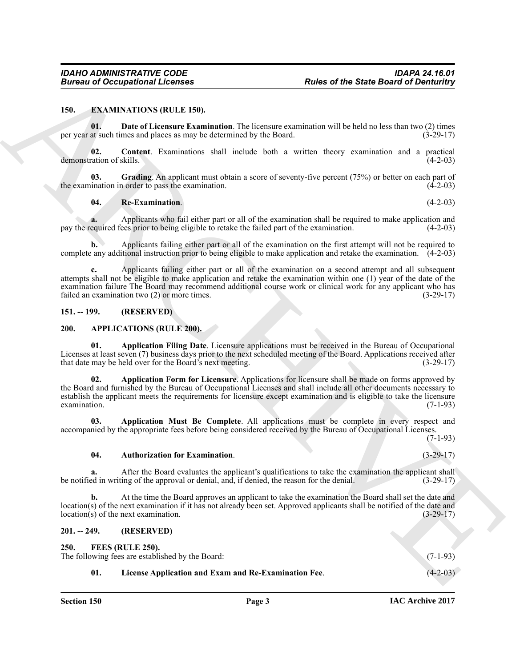#### <span id="page-2-9"></span><span id="page-2-0"></span>**150. EXAMINATIONS (RULE 150).**

<span id="page-2-11"></span>**01. Date of Licensure Examination**. The licensure examination will be held no less than two (2) times per year at such times and places as may be determined by the Board. (3-29-17)

<span id="page-2-10"></span>**02. Content**. Examinations shall include both a written theory examination and a practical demonstration of skills. (4-2-03)

**03.** Grading. An applicant must obtain a score of seventy-five percent (75%) or better on each part of ination in order to pass the examination. (4-2-03) the examination in order to pass the examination.

#### <span id="page-2-13"></span><span id="page-2-12"></span>**04. Re-Examination**. (4-2-03)

**a.** Applicants who fail either part or all of the examination shall be required to make application and equired fees prior to being eligible to retake the failed part of the examination. (4-2-03) pay the required fees prior to being eligible to retake the failed part of the examination.

**b.** Applicants failing either part or all of the examination on the first attempt will not be required to complete any additional instruction prior to being eligible to make application and retake the examination. (4-2-03)

**c.** Applicants failing either part or all of the examination on a second attempt and all subsequent attempts shall not be eligible to make application and retake the examination within one (1) year of the date of the examination failure The Board may recommend additional course work or clinical work for any applicant who has failed an examination two (2) or more times. failed an examination two  $(2)$  or more times.

#### <span id="page-2-5"></span><span id="page-2-1"></span>**151. -- 199. (RESERVED)**

#### <span id="page-2-2"></span>**200. APPLICATIONS (RULE 200).**

<span id="page-2-7"></span><span id="page-2-6"></span>**01. Application Filing Date**. Licensure applications must be received in the Bureau of Occupational Licenses at least seven (7) business days prior to the next scheduled meeting of the Board. Applications received after that date may be held over for the Board's next meeting. (3-29-17) that date may be held over for the Board's next meeting.

Bureau of Occupational Licensies<br>
150. EXAMA MION ROSE of the State Board of Deminutes<br>
150. Example of Licensies Example Significations The Licensies of the Side Board of Deminutes<br>
150. Contrast Example Significations T **02. Application Form for Licensure**. Applications for licensure shall be made on forms approved by the Board and furnished by the Bureau of Occupational Licenses and shall include all other documents necessary to establish the applicant meets the requirements for licensure except examination and is eligible to take the licensure examination. (7-1-93)  $\alpha$  examination. (7-1-93)

**03. Application Must Be Complete**. All applications must be complete in every respect and accompanied by the appropriate fees before being considered received by the Bureau of Occupational Licenses. (7-1-93)

#### <span id="page-2-8"></span>**04. Authorization for Examination**. (3-29-17)

**a.** After the Board evaluates the applicant's qualifications to take the examination the applicant shall ed in writing of the approval or denial, and, if denied, the reason for the denial.  $(3-29-17)$ be notified in writing of the approval or denial, and, if denied, the reason for the denial.

**b.** At the time the Board approves an applicant to take the examination the Board shall set the date and location(s) of the next examination if it has not already been set. Approved applicants shall be notified of the date and location(s) of the next examination.  $(3-29-17)$  $location(s)$  of the next examination.

#### <span id="page-2-3"></span>**201. -- 249. (RESERVED)**

<span id="page-2-15"></span><span id="page-2-14"></span>**250. FEES (RULE 250).**

<span id="page-2-4"></span>

| 23V. I | FEES (KULE 250).                                     |            |
|--------|------------------------------------------------------|------------|
|        | The following fees are established by the Board:     | $(7-1-93)$ |
|        | License Application and Exam and Re-Examination Fee. | $(4-2-03)$ |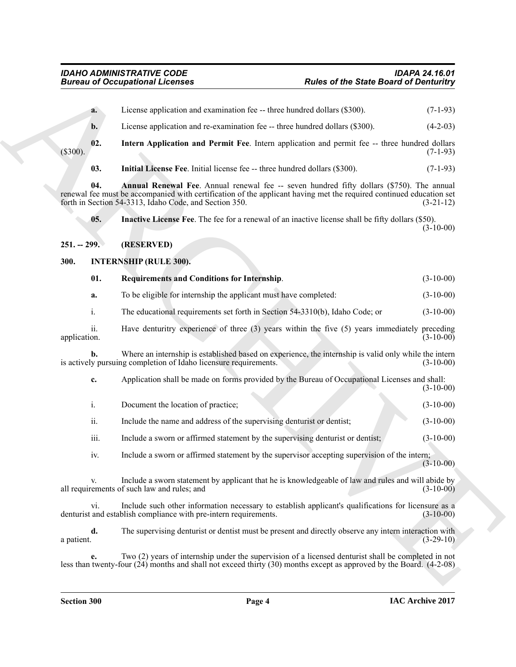<span id="page-3-7"></span><span id="page-3-6"></span><span id="page-3-5"></span><span id="page-3-4"></span><span id="page-3-3"></span><span id="page-3-2"></span><span id="page-3-1"></span><span id="page-3-0"></span>**Electric process control of the State Board of Deministry (1)**<br> **A**<br> **Electric projection and securities of the electric due to the United State Board of Deministry<br>
(3) <b>Electric projection and Permit Re-Lines applicati a.** License application and examination fee -- three hundred dollars (\$300). (7-1-93) **b.** License application and re-examination fee -- three hundred dollars (\$300). (4-2-03) **02. Intern Application and Permit Fee**. Intern application and permit fee -- three hundred dollars (\$300). (7-1-93) **03.** Initial License Fee. Initial license fee -- three hundred dollars (\$300). (7-1-93) **04.** Annual Renewal Fee. Annual renewal fee -- seven hundred fifty dollars (\$750). The annual renewal fee must be accompanied with certification of the applicant having met the required continued education set forth in Section 54-3313, Idaho Code, and Section 350. (3-21-12) forth in Section 54-3313, Idaho Code, and Section 350. **05. Inactive License Fee**. The fee for a renewal of an inactive license shall be fifty dollars (\$50).  $(3-10-00)$ **251. -- 299. (RESERVED) 300. INTERNSHIP (RULE 300). 01. Requirements and Conditions for Internship**. (3-10-00) **a.** To be eligible for internship the applicant must have completed:  $(3-10-00)$ i. The educational requirements set forth in Section 54-3310(b), Idaho Code; or (3-10-00) ii. Have denturitry experience of three (3) years within the five (5) years immediately preceding application. (3-10-00) application. (3-10-00) **b.** Where an internship is established based on experience, the internship is valid only while the intern v pursuing completion of Idaho licensure requirements. (3-10-00) is actively pursuing completion of Idaho licensure requirements. **c.** Application shall be made on forms provided by the Bureau of Occupational Licenses and shall: (3-10-00) i. Document the location of practice; (3-10-00) ii. Include the name and address of the supervising denturist or dentist; (3-10-00) iii. Include a sworn or affirmed statement by the supervising denturist or dentist;  $(3-10-00)$ iv. Include a sworn or affirmed statement by the supervisor accepting supervision of the intern;  $(3-10-00)$ Include a sworn statement by applicant that he is knowledgeable of law and rules and will abide by f such law and rules; and (3-10-00) all requirements of such law and rules; and vi. Include such other information necessary to establish applicant's qualifications for licensure as a and establish compliance with pre-intern requirements. (3-10-00) denturist and establish compliance with pre-intern requirements. **d.** The supervising denturist or dentist must be present and directly observe any intern interaction with a patient.  $(3-29-10)$ 

**e.** Two (2) years of internship under the supervision of a licensed denturist shall be completed in not less than twenty-four (24) months and shall not exceed thirty (30) months except as approved by the Board. (4-2-08)

a patient.  $(3-29-10)$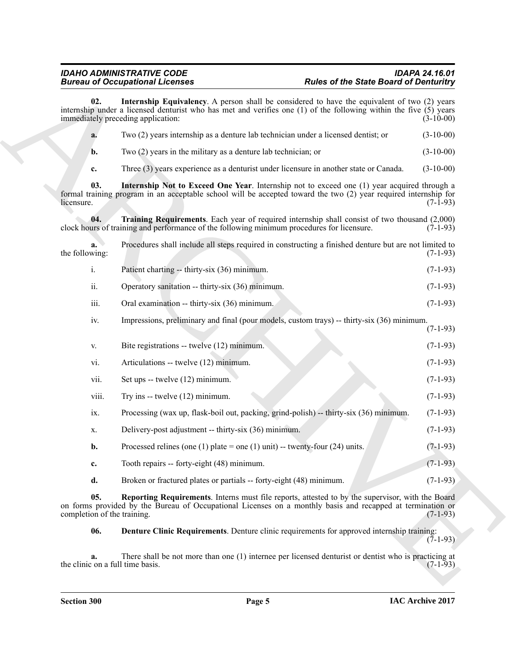<span id="page-4-4"></span><span id="page-4-2"></span><span id="page-4-1"></span>Biomazo Coccassion Control Lechnology and Lechnology and Lechnology and Lechnology and Lechnology and Lechnology and Lechnology and Lechnology and Lechnology and Lechnology and Lechnology and Lechnology and Lechnology and **02. Internship Equivalency**. A person shall be considered to have the equivalent of two (2) years internship under a licensed denturist who has met and verifies one (1) of the following within the five (5) years immediately preceding application: (3-10-00) **a.** Two (2) years internship as a denture lab technician under a licensed dentist; or (3-10-00) **b.** Two (2) years in the military as a denture lab technician; or (3-10-00) **c.** Three (3) years experience as a denturist under licensure in another state or Canada. (3-10-00) **03. Internship Not to Exceed One Year**. Internship not to exceed one (1) year acquired through a formal training program in an acceptable school will be accepted toward the two (2) year required internship for  $l$ icensure.  $(7-1-93)$ **04. Training Requirements**. Each year of required internship shall consist of two thousand (2,000) urs of training and performance of the following minimum procedures for licensure. (7-1-93) clock hours of training and performance of the following minimum procedures for licensure. **a.** Procedures shall include all steps required in constructing a finished denture but are not limited to the following:  $(7-1-93)$ i. Patient charting -- thirty-six (36) minimum. (7-1-93) ii. Operatory sanitation -- thirty-six  $(36)$  minimum. (7-1-93) iii. Oral examination -- thirty-six (36) minimum. (7-1-93) iv. Impressions, preliminary and final (pour models, custom trays) -- thirty-six (36) minimum. (7-1-93) v. Bite registrations -- twelve (12) minimum. (7-1-93) vi. Articulations -- twelve (12) minimum. (7-1-93) vii. Set ups  $-$  twelve (12) minimum. (7-1-93) viii. Try ins -- twelve  $(12)$  minimum. (7-1-93) ix. Processing (wax up, flask-boil out, packing, grind-polish) -- thirty-six (36) minimum. (7-1-93) x. Delivery-post adjustment -- thirty-six (36) minimum. (7-1-93) **b.** Processed relines (one (1) plate = one (1) unit) -- twenty-four (24) units.  $(7-1-93)$ **c.** Tooth repairs -- forty-eight (48) minimum. (7-1-93) **d.** Broken or fractured plates or partials -- forty-eight (48) minimum. (7-1-93)

**05. Reporting Requirements**. Interns must file reports, attested to by the supervisor, with the Board on forms provided by the Bureau of Occupational Licenses on a monthly basis and recapped at termination or completion of the training. (7-1-93) completion of the training.

<span id="page-4-3"></span><span id="page-4-0"></span>**06. Denture Clinic Requirements**. Denture clinic requirements for approved internship training:  $(7-1-93)$ 

**a.** There shall be not more than one (1) internee per licensed denturist or dentist who is practicing at  $\cos$  (7-1-93) the clinic on a full time basis.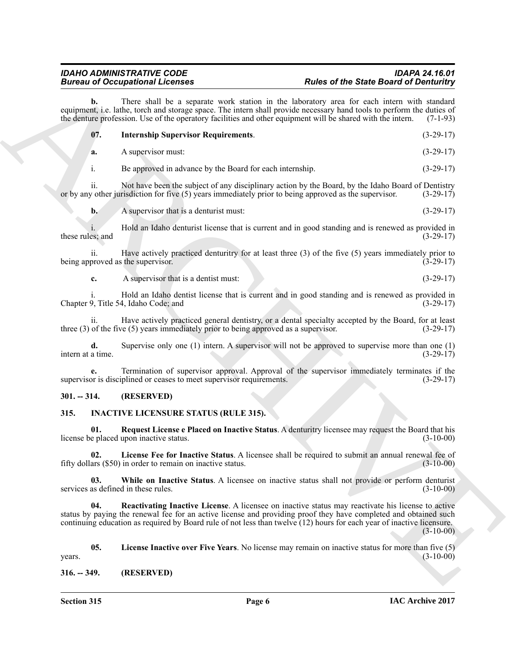<span id="page-5-9"></span>

|                         | <b>Bureau of Occupational Licenses</b>                                                   | <b>Rules of the State Board of Denturitry</b>                                                                                                                                                                                                                                                                                                                  |  |
|-------------------------|------------------------------------------------------------------------------------------|----------------------------------------------------------------------------------------------------------------------------------------------------------------------------------------------------------------------------------------------------------------------------------------------------------------------------------------------------------------|--|
| b.                      |                                                                                          | There shall be a separate work station in the laboratory area for each intern with standard<br>equipment, i.e. lathe, torch and storage space. The intern shall provide necessary hand tools to perform the duties of<br>the denture profession. Use of the operatory facilities and other equipment will be shared with the intern.<br>$(7-1-93)$             |  |
| 07.                     | <b>Internship Supervisor Requirements.</b>                                               | $(3-29-17)$                                                                                                                                                                                                                                                                                                                                                    |  |
| a.                      | A supervisor must:                                                                       | $(3-29-17)$                                                                                                                                                                                                                                                                                                                                                    |  |
| $\mathbf{1}$ .          | Be approved in advance by the Board for each internship.                                 | $(3-29-17)$                                                                                                                                                                                                                                                                                                                                                    |  |
| ii.                     |                                                                                          | Not have been the subject of any disciplinary action by the Board, by the Idaho Board of Dentistry<br>or by any other jurisdiction for five $(5)$ years immediately prior to being approved as the supervisor.<br>$(3-29-17)$                                                                                                                                  |  |
| $\mathbf{b}$ .          | A supervisor that is a denturist must:                                                   | $(3-29-17)$                                                                                                                                                                                                                                                                                                                                                    |  |
| these rules; and        |                                                                                          | Hold an Idaho denturist license that is current and in good standing and is renewed as provided in<br>$(3-29-17)$                                                                                                                                                                                                                                              |  |
| 11.                     | being approved as the supervisor.                                                        | Have actively practiced denturitry for at least three $(3)$ of the five $(5)$ years immediately prior to<br>$(3-29-17)$                                                                                                                                                                                                                                        |  |
| c.                      | A supervisor that is a dentist must:                                                     | $(3-29-17)$                                                                                                                                                                                                                                                                                                                                                    |  |
|                         | Chapter 9, Title 54, Idaho Code; and                                                     | Hold an Idaho dentist license that is current and in good standing and is renewed as provided in<br>$(3-29-17)$                                                                                                                                                                                                                                                |  |
| 11.                     | three $(3)$ of the five $(5)$ years immediately prior to being approved as a supervisor. | Have actively practiced general dentistry, or a dental specialty accepted by the Board, for at least<br>$(3-29-17)$                                                                                                                                                                                                                                            |  |
| d.<br>intern at a time. |                                                                                          | Supervise only one $(1)$ intern. A supervisor will not be approved to supervise more than one $(1)$<br>$(3-29-17)$                                                                                                                                                                                                                                             |  |
|                         | supervisor is disciplined or ceases to meet supervisor requirements.                     | Termination of supervisor approval. Approval of the supervisor immediately terminates if the<br>$(3-29-17)$                                                                                                                                                                                                                                                    |  |
| $301. - 314.$           | (RESERVED)                                                                               |                                                                                                                                                                                                                                                                                                                                                                |  |
| 315.                    | <b>INACTIVE LICENSURE STATUS (RULE 315).</b>                                             |                                                                                                                                                                                                                                                                                                                                                                |  |
| 01.                     | license be placed upon inactive status.                                                  | Request License e Placed on Inactive Status. A denturitry licensee may request the Board that his<br>$(3-10-00)$                                                                                                                                                                                                                                               |  |
|                         | fifty dollars (\$50) in order to remain on inactive status.                              | License Fee for Inactive Status. A licensee shall be required to submit an annual renewal fee of<br>$(3-10-00)$                                                                                                                                                                                                                                                |  |
| 03.                     | services as defined in these rules.                                                      | While on Inactive Status. A licensee on inactive status shall not provide or perform denturist<br>$(3-10-00)$                                                                                                                                                                                                                                                  |  |
| 04.                     |                                                                                          | Reactivating Inactive License. A licensee on inactive status may reactivate his license to active<br>status by paying the renewal fee for an active license and providing proof they have completed and obtained such<br>continuing education as required by Board rule of not less than twelve (12) hours for each year of inactive licensure.<br>$(3-10-00)$ |  |
| 05.<br>years.           |                                                                                          | <b>License Inactive over Five Years.</b> No license may remain on inactive status for more than five (5)<br>$(3-10-00)$                                                                                                                                                                                                                                        |  |
| $316. - 349.$           | (RESERVED)                                                                               |                                                                                                                                                                                                                                                                                                                                                                |  |

#### <span id="page-5-0"></span>**301. -- 314. (RESERVED)**

#### <span id="page-5-8"></span><span id="page-5-7"></span><span id="page-5-6"></span><span id="page-5-4"></span><span id="page-5-3"></span><span id="page-5-1"></span>**315. INACTIVE LICENSURE STATUS (RULE 315).**

<span id="page-5-5"></span><span id="page-5-2"></span>**Section 315 Page 6**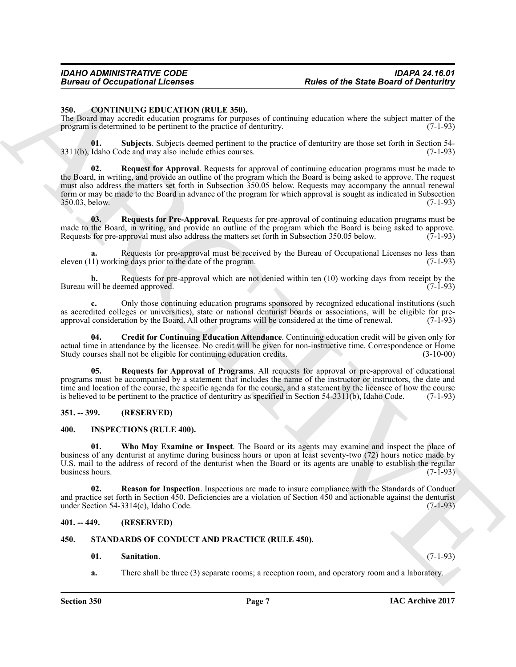#### <span id="page-6-5"></span><span id="page-6-0"></span>**350. CONTINUING EDUCATION (RULE 350).**

The Board may accredit education programs for purposes of continuing education where the subject matter of the program is determined to be pertinent to the practice of denturitry. (7-1-93)

<span id="page-6-10"></span><span id="page-6-7"></span>**01.** Subjects. Subjects deemed pertinent to the practice of denturitry are those set forth in Section 54-<br>Idaho Code and may also include ethics courses. (7-1-93)  $3311(b)$ , Idaho Code and may also include ethics courses.

Forces of Occupational Licenses<br>
State of the State Board of Derivation<br>
State Contract of Contract of Contract of Contract of Contract of Contract of Contract of Contract of Contract of Contract of Contract of Contract o **Request for Approval.** Requests for approval of continuing education programs must be made to the Board, in writing, and provide an outline of the program which the Board is being asked to approve. The request must also address the matters set forth in Subsection 350.05 below. Requests may accompany the annual renewal form or may be made to the Board in advance of the program for which approval is sought as indicated in Subsection 350.03, below. (7-1-93) 350.03, below. (7-1-93)

<span id="page-6-9"></span>**03. Requests for Pre-Approval**. Requests for pre-approval of continuing education programs must be made to the Board, in writing, and provide an outline of the program which the Board is being asked to approve.<br>Requests for pre-approval must also address the matters set forth in Subsection 350.05 below. (7-1-93) Requests for pre-approval must also address the matters set forth in Subsection 350.05 below.

Requests for pre-approval must be received by the Bureau of Occupational Licenses no less than predicted a request<br>ne days prior to the date of the program. eleven  $(11)$  working days prior to the date of the program.

**b.** Requests for pre-approval which are not denied within ten (10) working days from receipt by the will be deemed approved. (7-1-93) Bureau will be deemed approved.

**c.** Only those continuing education programs sponsored by recognized educational institutions (such as accredited colleges or universities), state or national denturist boards or associations, will be eligible for pre-<br>approval consideration by the Board. All other programs will be considered at the time of renewal. (7-1 approval consideration by the Board. All other programs will be considered at the time of renewal.

<span id="page-6-6"></span>**04. Credit for Continuing Education Attendance**. Continuing education credit will be given only for actual time in attendance by the licensee. No credit will be given for non-instructive time. Correspondence or Home<br>Study courses shall not be eligible for continuing education credits. (3-10-00) Study courses shall not be eligible for continuing education credits.

<span id="page-6-8"></span>**05. Requests for Approval of Programs**. All requests for approval or pre-approval of educational programs must be accompanied by a statement that includes the name of the instructor or instructors, the date and time and location of the course, the specific agenda for the course, and a statement by the licensee of how the course is believed to be pertinent to the practice of denturitry as specified in Section 54-331 $(1(b)$ , Idaho Code. (7-1-93)

#### <span id="page-6-1"></span>**351. -- 399. (RESERVED)**

#### <span id="page-6-13"></span><span id="page-6-11"></span><span id="page-6-2"></span>**400. INSPECTIONS (RULE 400).**

**01. Who May Examine or Inspect**. The Board or its agents may examine and inspect the place of business of any denturist at anytime during business hours or upon at least seventy-two (72) hours notice made by U.S. mail to the address of record of the denturist when the Board or its agents are unable to establish the regular business hours.

<span id="page-6-12"></span>**02. Reason for Inspection**. Inspections are made to insure compliance with the Standards of Conduct and practice set forth in Section 450. Deficiencies are a violation of Section 450 and actionable against the denturist under Section 54-3314(c), Idaho Code.  $(7-1-93)$ under Section  $54-3314(c)$ , Idaho Code.

#### <span id="page-6-3"></span>**401. -- 449. (RESERVED)**

#### <span id="page-6-4"></span>**450. STANDARDS OF CONDUCT AND PRACTICE (RULE 450).**

#### <span id="page-6-15"></span><span id="page-6-14"></span>**01. Sanitation**. (7-1-93)

**a.** There shall be three (3) separate rooms; a reception room, and operatory room and a laboratory.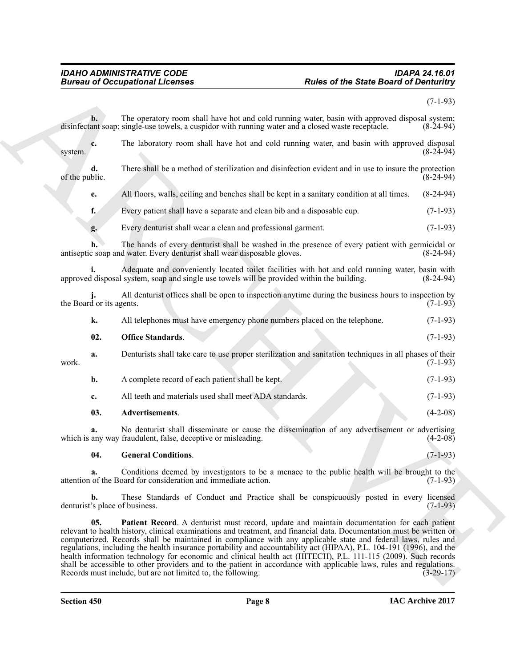#### <span id="page-7-3"></span><span id="page-7-2"></span><span id="page-7-1"></span><span id="page-7-0"></span>*IDAHO ADMINISTRATIVE CODE IDAPA 24.16.01 Bureau of Occupational Licenses Rules of the State Board of Denturitry*

|                                      | <b>Bureau of Occupational Licenses</b>                                                                                                                                                                                                                                                                                                                                                                                                                                                                                                                                                                                                                                                                                                                                  | <b>Rules of the State Board of Denturitry</b> |  |
|--------------------------------------|-------------------------------------------------------------------------------------------------------------------------------------------------------------------------------------------------------------------------------------------------------------------------------------------------------------------------------------------------------------------------------------------------------------------------------------------------------------------------------------------------------------------------------------------------------------------------------------------------------------------------------------------------------------------------------------------------------------------------------------------------------------------------|-----------------------------------------------|--|
|                                      |                                                                                                                                                                                                                                                                                                                                                                                                                                                                                                                                                                                                                                                                                                                                                                         | $(7-1-93)$                                    |  |
| b.                                   | The operatory room shall have hot and cold running water, basin with approved disposal system;<br>disinfectant soap; single-use towels, a cuspidor with running water and a closed waste receptacle.                                                                                                                                                                                                                                                                                                                                                                                                                                                                                                                                                                    | $(8-24-94)$                                   |  |
| c.<br>system.                        | The laboratory room shall have hot and cold running water, and basin with approved disposal                                                                                                                                                                                                                                                                                                                                                                                                                                                                                                                                                                                                                                                                             | $(8-24-94)$                                   |  |
| d.<br>of the public.                 | There shall be a method of sterilization and disinfection evident and in use to insure the protection                                                                                                                                                                                                                                                                                                                                                                                                                                                                                                                                                                                                                                                                   | $(8-24-94)$                                   |  |
| e.                                   | All floors, walls, ceiling and benches shall be kept in a sanitary condition at all times.                                                                                                                                                                                                                                                                                                                                                                                                                                                                                                                                                                                                                                                                              | $(8-24-94)$                                   |  |
| f.                                   | Every patient shall have a separate and clean bib and a disposable cup.                                                                                                                                                                                                                                                                                                                                                                                                                                                                                                                                                                                                                                                                                                 | $(7-1-93)$                                    |  |
| g.                                   | Every denturist shall wear a clean and professional garment.                                                                                                                                                                                                                                                                                                                                                                                                                                                                                                                                                                                                                                                                                                            | $(7-1-93)$                                    |  |
|                                      | The hands of every denturist shall be washed in the presence of every patient with germicidal or<br>antiseptic soap and water. Every denturist shall wear disposable gloves.                                                                                                                                                                                                                                                                                                                                                                                                                                                                                                                                                                                            | $(8-24-94)$                                   |  |
|                                      | Adequate and conveniently located toilet facilities with hot and cold running water, basin with<br>approved disposal system, soap and single use towels will be provided within the building.                                                                                                                                                                                                                                                                                                                                                                                                                                                                                                                                                                           | $(8-24-94)$                                   |  |
| the Board or its agents.             | All denturist offices shall be open to inspection anytime during the business hours to inspection by                                                                                                                                                                                                                                                                                                                                                                                                                                                                                                                                                                                                                                                                    | $(7-1-93)$                                    |  |
| k.                                   | All telephones must have emergency phone numbers placed on the telephone.                                                                                                                                                                                                                                                                                                                                                                                                                                                                                                                                                                                                                                                                                               | $(7-1-93)$                                    |  |
| 02.                                  | <b>Office Standards.</b>                                                                                                                                                                                                                                                                                                                                                                                                                                                                                                                                                                                                                                                                                                                                                | $(7-1-93)$                                    |  |
| a.<br>work.                          | Denturists shall take care to use proper sterilization and sanitation techniques in all phases of their                                                                                                                                                                                                                                                                                                                                                                                                                                                                                                                                                                                                                                                                 | $(7-1-93)$                                    |  |
| b.                                   | A complete record of each patient shall be kept.                                                                                                                                                                                                                                                                                                                                                                                                                                                                                                                                                                                                                                                                                                                        | $(7-1-93)$                                    |  |
| c.                                   | All teeth and materials used shall meet ADA standards.                                                                                                                                                                                                                                                                                                                                                                                                                                                                                                                                                                                                                                                                                                                  | $(7-1-93)$                                    |  |
| 03.                                  | Advertisements.                                                                                                                                                                                                                                                                                                                                                                                                                                                                                                                                                                                                                                                                                                                                                         | $(4-2-08)$                                    |  |
| a.                                   | No denturist shall disseminate or cause the dissemination of any advertisement or advertising<br>which is any way fraudulent, false, deceptive or misleading.                                                                                                                                                                                                                                                                                                                                                                                                                                                                                                                                                                                                           | $(4-2-08)$                                    |  |
| 04.                                  | <b>General Conditions.</b>                                                                                                                                                                                                                                                                                                                                                                                                                                                                                                                                                                                                                                                                                                                                              | $(7-1-93)$                                    |  |
| a.                                   | Conditions deemed by investigators to be a menace to the public health will be brought to the<br>attention of the Board for consideration and immediate action.                                                                                                                                                                                                                                                                                                                                                                                                                                                                                                                                                                                                         | $(7-1-93)$                                    |  |
| b.<br>denturist's place of business. | These Standards of Conduct and Practice shall be conspicuously posted in every licensed                                                                                                                                                                                                                                                                                                                                                                                                                                                                                                                                                                                                                                                                                 | $(7-1-93)$                                    |  |
| 05.                                  | Patient Record. A denturist must record, update and maintain documentation for each patient<br>relevant to health history, clinical examinations and treatment, and financial data. Documentation must be written or<br>computerized. Records shall be maintained in compliance with any applicable state and federal laws, rules and<br>regulations, including the health insurance portability and accountability act (HIPAA), P.L. 104-191 (1996), and the<br>health information technology for economic and clinical health act (HITECH), P.L. 111-115 (2009). Such records<br>shall be accessible to other providers and to the patient in accordance with applicable laws, rules and regulations.<br>Records must include, but are not limited to, the following: | $(3-29-17)$                                   |  |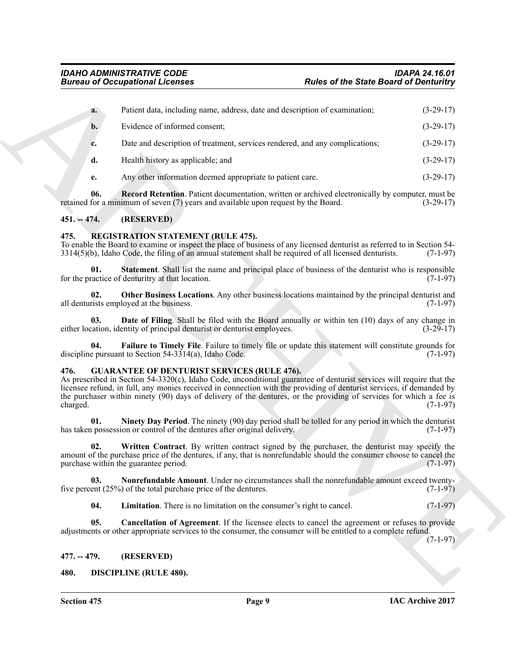|                  | <b>Bureau of Occupational Licenses</b>                                                                                                                                                                                                                                                                                                                                                                                   | <b>Rules of the State Board of Denturitry</b> |             |
|------------------|--------------------------------------------------------------------------------------------------------------------------------------------------------------------------------------------------------------------------------------------------------------------------------------------------------------------------------------------------------------------------------------------------------------------------|-----------------------------------------------|-------------|
| a.               | Patient data, including name, address, date and description of examination;                                                                                                                                                                                                                                                                                                                                              |                                               | $(3-29-17)$ |
| $b$ .            | Evidence of informed consent;                                                                                                                                                                                                                                                                                                                                                                                            |                                               | $(3-29-17)$ |
| c.               | Date and description of treatment, services rendered, and any complications;                                                                                                                                                                                                                                                                                                                                             |                                               | $(3-29-17)$ |
| d.               | Health history as applicable; and                                                                                                                                                                                                                                                                                                                                                                                        |                                               | $(3-29-17)$ |
| е.               | Any other information deemed appropriate to patient care.                                                                                                                                                                                                                                                                                                                                                                |                                               | $(3-29-17)$ |
| 06.              | <b>Record Retention</b> . Patient documentation, written or archived electronically by computer, must be<br>retained for a minimum of seven (7) years and available upon request by the Board.                                                                                                                                                                                                                           |                                               | $(3-29-17)$ |
| $451. - 474.$    | (RESERVED)                                                                                                                                                                                                                                                                                                                                                                                                               |                                               |             |
| 475.             | <b>REGISTRATION STATEMENT (RULE 475).</b><br>To enable the Board to examine or inspect the place of business of any licensed denturist as referred to in Section 54-<br>$3314(5)(b)$ , Idaho Code, the filing of an annual statement shall be required of all licensed denturists.                                                                                                                                       |                                               | $(7-1-97)$  |
| 01.              | <b>Statement</b> . Shall list the name and principal place of business of the denturist who is responsible<br>for the practice of denturitry at that location.                                                                                                                                                                                                                                                           |                                               | $(7-1-97)$  |
| 02.              | Other Business Locations. Any other business locations maintained by the principal denturist and<br>all denturists employed at the business.                                                                                                                                                                                                                                                                             |                                               | $(7-1-97)$  |
| 03.              | <b>Date of Filing</b> . Shall be filed with the Board annually or within ten (10) days of any change in<br>either location, identity of principal denturist or denturist employees.                                                                                                                                                                                                                                      |                                               | $(3-29-17)$ |
| 04.              | Failure to Timely File. Failure to timely file or update this statement will constitute grounds for<br>discipline pursuant to Section 54-3314(a), Idaho Code.                                                                                                                                                                                                                                                            |                                               | $(7-1-97)$  |
| 476.<br>charged. | <b>GUARANTEE OF DENTURIST SERVICES (RULE 476).</b><br>As prescribed in Section 54-3320(c), Idaho Code, unconditional guarantee of denturist services will require that the<br>licensee refund, in full, any monies received in connection with the providing of denturist services, if demanded by<br>the purchaser within ninety (90) days of delivery of the dentures, or the providing of services for which a fee is |                                               | $(7-1-97)$  |
| 01.              | Ninety Day Period. The ninety (90) day period shall be tolled for any period in which the denturist<br>has taken possession or control of the dentures after original delivery.                                                                                                                                                                                                                                          |                                               | $(7-1-97)$  |
| 02.              | Written Contract. By written contract signed by the purchaser, the denturist may specify the<br>amount of the purchase price of the dentures, if any, that is nonrefundable should the consumer choose to cancel the<br>purchase within the guarantee period.                                                                                                                                                            |                                               | $(7-1-97)$  |
| 03.              | Nonrefundable Amount. Under no circumstances shall the nonrefundable amount exceed twenty-<br>five percent $(25\%)$ of the total purchase price of the dentures.                                                                                                                                                                                                                                                         |                                               | $(7-1-97)$  |
| 04.              | Limitation. There is no limitation on the consumer's right to cancel.                                                                                                                                                                                                                                                                                                                                                    |                                               | $(7-1-97)$  |
| 05.              | <b>Cancellation of Agreement</b> . If the licensee elects to cancel the agreement or refuses to provide<br>adjustments or other appropriate services to the consumer, the consumer will be entitled to a complete refund.                                                                                                                                                                                                |                                               | $(7-1-97)$  |
| $477. - 479.$    | (RESERVED)                                                                                                                                                                                                                                                                                                                                                                                                               |                                               |             |
| 480.             | <b>DISCIPLINE (RULE 480).</b>                                                                                                                                                                                                                                                                                                                                                                                            |                                               |             |

#### <span id="page-8-0"></span>**451. -- 474. (RESERVED)**

#### <span id="page-8-16"></span><span id="page-8-15"></span><span id="page-8-12"></span><span id="page-8-1"></span>**475. REGISTRATION STATEMENT (RULE 475).**

#### <span id="page-8-14"></span><span id="page-8-13"></span><span id="page-8-11"></span><span id="page-8-10"></span><span id="page-8-9"></span><span id="page-8-8"></span><span id="page-8-7"></span><span id="page-8-6"></span><span id="page-8-5"></span><span id="page-8-4"></span><span id="page-8-3"></span><span id="page-8-2"></span>**476. GUARANTEE OF DENTURIST SERVICES (RULE 476).**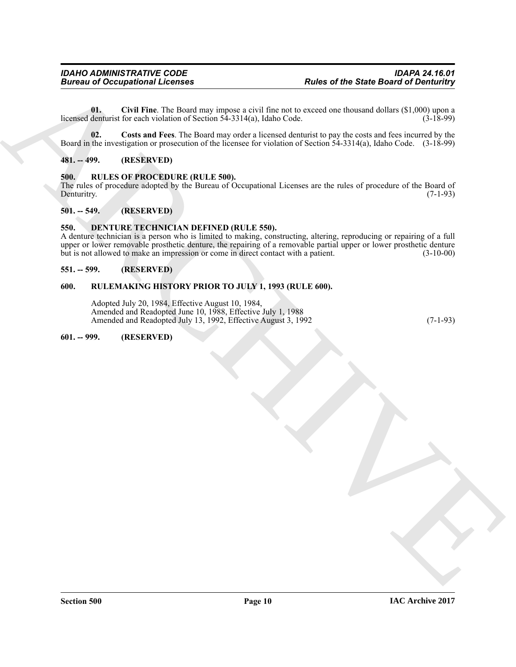<span id="page-9-8"></span>**01.** Civil Fine. The Board may impose a civil fine not to exceed one thousand dollars (\$1,000) upon a denturist for each violation of Section 54-3314(a), Idaho Code. (3-18-99) licensed denturist for each violation of Section  $5\overline{4}$ -3314(a), Idaho Code.

<span id="page-9-9"></span>**02. Costs and Fees**. The Board may order a licensed denturist to pay the costs and fees incurred by the Board in the investigation or prosecution of the licensee for violation of Section 54-3314(a), Idaho Code. (3-18-99)

#### <span id="page-9-0"></span>**481. -- 499. (RESERVED)**

#### <span id="page-9-10"></span><span id="page-9-1"></span>**500. RULES OF PROCEDURE (RULE 500).**

The rules of procedure adopted by the Bureau of Occupational Licenses are the rules of procedure of the Board of Denturity. (7-1-93) Denturitry. (7-1-93)

#### <span id="page-9-2"></span>**501. -- 549. (RESERVED)**

#### <span id="page-9-7"></span><span id="page-9-3"></span>**550. DENTURE TECHNICIAN DEFINED (RULE 550).**

Forces of Occupational Licenses<br>
Units (Child line, The David State Board of Dentisian Figure 1, and the second test through distinct STMC (11.50%)<br>
Hence defines the Northern of State Board State 1, and the second test t A denture technician is a person who is limited to making, constructing, altering, reproducing or repairing of a full upper or lower removable prosthetic denture, the repairing of a removable partial upper or lower prosthetic denture but is not allowed to make an impression or come in direct contact with a patient. (3-10-00)

#### <span id="page-9-4"></span>**551. -- 599. (RESERVED)**

#### <span id="page-9-5"></span>**600. RULEMAKING HISTORY PRIOR TO JULY 1, 1993 (RULE 600).**

Adopted July 20, 1984, Effective August 10, 1984, Amended and Readopted June 10, 1988, Effective July 1, 1988 Amended and Readopted July 13, 1992, Effective August 3, 1992 (7-1-93)

#### <span id="page-9-6"></span>**601. -- 999. (RESERVED)**